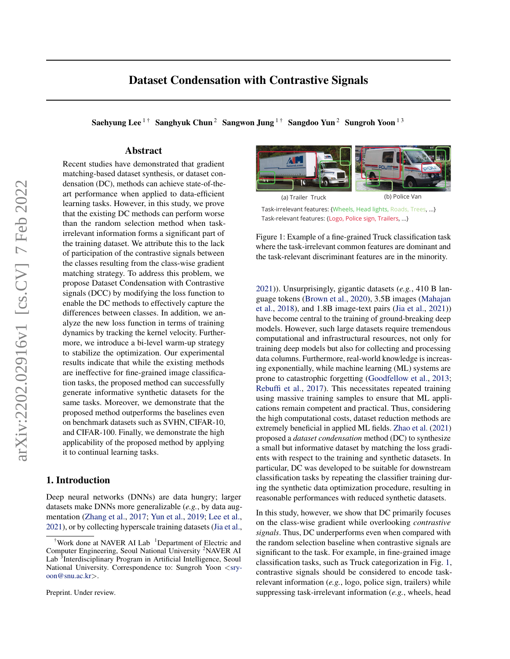Saehyung Lee<sup>1†</sup> Sanghyuk Chun<sup>2</sup> Sangwon Jung<sup>1†</sup> Sangdoo Yun<sup>2</sup> Sungroh Yoon<sup>13</sup>

## Abstract

Recent studies have demonstrated that gradient matching-based dataset synthesis, or dataset condensation (DC), methods can achieve state-of-theart performance when applied to data-efficient learning tasks. However, in this study, we prove that the existing DC methods can perform worse than the random selection method when taskirrelevant information forms a significant part of the training dataset. We attribute this to the lack of participation of the contrastive signals between the classes resulting from the class-wise gradient matching strategy. To address this problem, we propose Dataset Condensation with Contrastive signals (DCC) by modifying the loss function to enable the DC methods to effectively capture the differences between classes. In addition, we analyze the new loss function in terms of training dynamics by tracking the kernel velocity. Furthermore, we introduce a bi-level warm-up strategy to stabilize the optimization. Our experimental results indicate that while the existing methods are ineffective for fine-grained image classification tasks, the proposed method can successfully generate informative synthetic datasets for the same tasks. Moreover, we demonstrate that the proposed method outperforms the baselines even on benchmark datasets such as SVHN, CIFAR-10, and CIFAR-100. Finally, we demonstrate the high applicability of the proposed method by applying it to continual learning tasks.

## 1. Introduction

Deep neural networks (DNNs) are data hungry; larger datasets make DNNs more generalizable (*e.g.*, by data augmentation [\(Zhang et al.,](#page-9-0) [2017;](#page-9-0) [Yun et al.,](#page-9-1) [2019;](#page-9-1) [Lee et al.,](#page-8-0) [2021\)](#page-8-0), or by collecting hyperscale training datasets [\(Jia et al.,](#page-8-1)

<span id="page-0-0"></span>

Task-irrelevant features: {Wheels, Head lights, Roads, Trees, ...} Task-relevant features: {Logo, Police sign, Trailers, ...}

Figure 1: Example of a fine-grained Truck classification task where the task-irrelevant common features are dominant and the task-relevant discriminant features are in the minority.

[2021\)](#page-8-1)). Unsurprisingly, gigantic datasets (*e.g.*, 410 B language tokens [\(Brown et al.,](#page-8-2) [2020\)](#page-8-2), 3.5B images [\(Mahajan](#page-8-3) [et al.,](#page-8-3) [2018\)](#page-8-3), and 1.8B image-text pairs [\(Jia et al.,](#page-8-1) [2021\)](#page-8-1)) have become central to the training of ground-breaking deep models. However, such large datasets require tremendous computational and infrastructural resources, not only for training deep models but also for collecting and processing data columns. Furthermore, real-world knowledge is increasing exponentially, while machine learning (ML) systems are prone to catastrophic forgetting [\(Goodfellow et al.,](#page-8-4) [2013;](#page-8-4) [Rebuffi et al.,](#page-9-2) [2017\)](#page-9-2). This necessitates repeated training using massive training samples to ensure that ML applications remain competent and practical. Thus, considering the high computational costs, dataset reduction methods are extremely beneficial in applied ML fields. [Zhao et al.](#page-9-3) [\(2021\)](#page-9-3) proposed a *dataset condensation* method (DC) to synthesize a small but informative dataset by matching the loss gradients with respect to the training and synthetic datasets. In particular, DC was developed to be suitable for downstream classification tasks by repeating the classifier training during the synthetic data optimization procedure, resulting in reasonable performances with reduced synthetic datasets.

In this study, however, we show that DC primarily focuses on the class-wise gradient while overlooking *contrastive signals*. Thus, DC underperforms even when compared with the random selection baseline when contrastive signals are significant to the task. For example, in fine-grained image classification tasks, such as Truck categorization in Fig. [1,](#page-0-0) contrastive signals should be considered to encode taskrelevant information (*e.g.*, logo, police sign, trailers) while suppressing task-irrelevant information (*e.g.*, wheels, head

<sup>&</sup>lt;sup>†</sup>Work done at NAVER AI Lab  $\,$ <sup>1</sup>Department of Electric and Computer Engineering, Seoul National University <sup>2</sup>NAVER AI Lab<sup>3</sup>Interdisciplinary Program in Artificial Intelligence, Seoul National University. Correspondence to: Sungroh Yoon <[sry](mailto:sryoon@snu.ac.kr)[oon@snu.ac.kr](mailto:sryoon@snu.ac.kr)>.

Preprint. Under review.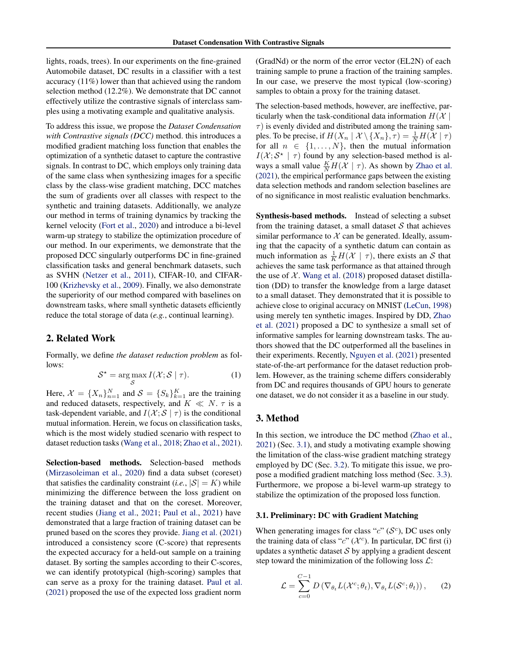lights, roads, trees). In our experiments on the fine-grained Automobile dataset, DC results in a classifier with a test accuracy (11%) lower than that achieved using the random selection method (12.2%). We demonstrate that DC cannot effectively utilize the contrastive signals of interclass samples using a motivating example and qualitative analysis.

To address this issue, we propose the *Dataset Condensation with Contrastive signals (DCC)* method. this introduces a modified gradient matching loss function that enables the optimization of a synthetic dataset to capture the contrastive signals. In contrast to DC, which employs only training data of the same class when synthesizing images for a specific class by the class-wise gradient matching, DCC matches the sum of gradients over all classes with respect to the synthetic and training datasets. Additionally, we analyze our method in terms of training dynamics by tracking the kernel velocity [\(Fort et al.,](#page-8-5) [2020\)](#page-8-5) and introduce a bi-level warm-up strategy to stabilize the optimization procedure of our method. In our experiments, we demonstrate that the proposed DCC singularly outperforms DC in fine-grained classification tasks and general benchmark datasets, such as SVHN [\(Netzer et al.,](#page-8-6) [2011\)](#page-8-6), CIFAR-10, and CIFAR-100 [\(Krizhevsky et al.,](#page-8-7) [2009\)](#page-8-7). Finally, we also demonstrate the superiority of our method compared with baselines on downstream tasks, where small synthetic datasets efficiently reduce the total storage of data (*e.g.*, continual learning).

## 2. Related Work

Formally, we define *the dataset reduction problem* as follows:

$$
S^* = \underset{S}{\arg\max} I(\mathcal{X}; S \mid \tau). \tag{1}
$$

Here,  $\mathcal{X} = \{X_n\}_{n=1}^N$  and  $\mathcal{S} = \{S_k\}_{k=1}^K$  are the training and reduced datasets, respectively, and  $K \ll N$ .  $\tau$  is a task-dependent variable, and  $I(X; S | \tau)$  is the conditional mutual information. Herein, we focus on classification tasks, which is the most widely studied scenario with respect to dataset reduction tasks [\(Wang et al.,](#page-9-4) [2018;](#page-9-4) [Zhao et al.,](#page-9-3) [2021\)](#page-9-3).

Selection-based methods. Selection-based methods [\(Mirzasoleiman et al.,](#page-8-8) [2020\)](#page-8-8) find a data subset (coreset) that satisfies the cardinality constraint (*i.e.*,  $|S| = K$ ) while minimizing the difference between the loss gradient on the training dataset and that on the coreset. Moreover, recent studies [\(Jiang et al.,](#page-8-9) [2021;](#page-8-9) [Paul et al.,](#page-9-5) [2021\)](#page-9-5) have demonstrated that a large fraction of training dataset can be pruned based on the scores they provide. [Jiang et al.](#page-8-9) [\(2021\)](#page-8-9) introduced a consistency score (C-score) that represents the expected accuracy for a held-out sample on a training dataset. By sorting the samples according to their C-scores, we can identify prototypical (high-scoring) samples that can serve as a proxy for the training dataset. [Paul et al.](#page-9-5) [\(2021\)](#page-9-5) proposed the use of the expected loss gradient norm

(GradNd) or the norm of the error vector (EL2N) of each training sample to prune a fraction of the training samples. In our case, we preserve the most typical (low-scoring) samples to obtain a proxy for the training dataset.

The selection-based methods, however, are ineffective, particularly when the task-conditional data information  $H(X |$  $\tau$ ) is evenly divided and distributed among the training samples. To be precise, if  $H(X_n | \mathcal{X} \setminus \{X_n\}, \tau) = \frac{1}{N} H(\mathcal{X} | \tau)$ for all  $n \in \{1, \ldots, N\}$ , then the mutual information  $I(X; S^* | \tau)$  found by any selection-based method is always a small value  $\frac{K}{N}H(\mathcal{X} \mid \tau)$ . As shown by [Zhao et al.](#page-9-3) [\(2021\)](#page-9-3), the empirical performance gaps between the existing data selection methods and random selection baselines are of no significance in most realistic evaluation benchmarks.

Synthesis-based methods. Instead of selecting a subset from the training dataset, a small dataset  $S$  that achieves similar performance to  $X$  can be generated. Ideally, assuming that the capacity of a synthetic datum can contain as much information as  $\frac{1}{K}H(\mathcal{X} \mid \tau)$ , there exists an S that achieves the same task performance as that attained through the use of  $X$ . [Wang et al.](#page-9-4) [\(2018\)](#page-9-4) proposed dataset distillation (DD) to transfer the knowledge from a large dataset to a small dataset. They demonstrated that it is possible to achieve close to original accuracy on MNIST [\(LeCun,](#page-8-10) [1998\)](#page-8-10) using merely ten synthetic images. Inspired by DD, [Zhao](#page-9-3) [et al.](#page-9-3) [\(2021\)](#page-9-3) proposed a DC to synthesize a small set of informative samples for learning downstream tasks. The authors showed that the DC outperformed all the baselines in their experiments. Recently, [Nguyen et al.](#page-9-6) [\(2021\)](#page-9-6) presented state-of-the-art performance for the dataset reduction problem. However, as the training scheme differs considerably from DC and requires thousands of GPU hours to generate one dataset, we do not consider it as a baseline in our study.

### 3. Method

In this section, we introduce the DC method [\(Zhao et al.,](#page-9-3) [2021\)](#page-9-3) (Sec. [3.1\)](#page-1-0), and study a motivating example showing the limitation of the class-wise gradient matching strategy employed by DC (Sec. [3.2\)](#page-2-0). To mitigate this issue, we propose a modified gradient matching loss method (Sec. [3.3\)](#page-3-0). Furthermore, we propose a bi-level warm-up strategy to stabilize the optimization of the proposed loss function.

#### <span id="page-1-0"></span>3.1. Preliminary: DC with Gradient Matching

When generating images for class " $c$ " ( $\mathcal{S}^c$ ), DC uses only the training data of class " $c$ " ( $\mathcal{X}^c$ ). In particular, DC first (i) updates a synthetic dataset  $S$  by applying a gradient descent step toward the minimization of the following loss  $\mathcal{L}$ :

<span id="page-1-1"></span>
$$
\mathcal{L} = \sum_{c=0}^{C-1} D(\nabla_{\theta_t} L(\mathcal{X}^c; \theta_t), \nabla_{\theta_t} L(\mathcal{S}^c; \theta_t)),
$$
 (2)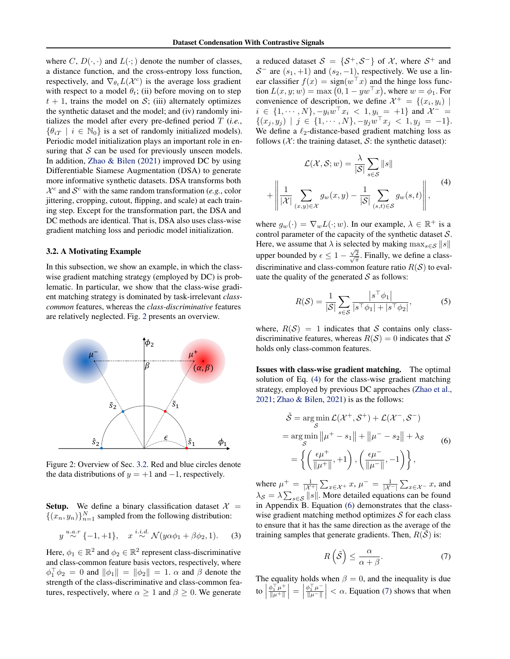where C,  $D(\cdot, \cdot)$  and  $L(\cdot; \cdot)$  denote the number of classes, a distance function, and the cross-entropy loss function, respectively, and  $\nabla_{\theta_t} L(\mathcal{X}^c)$  is the average loss gradient with respect to a model  $\theta_t$ ; (ii) before moving on to step  $t + 1$ , trains the model on S; (iii) alternately optimizes the synthetic dataset and the model; and (iv) randomly initializes the model after every pre-defined period T (*i.e.*,  $\{\theta_{iT} \mid i \in \mathbb{N}_0\}$  is a set of randomly initialized models). Periodic model initialization plays an important role in ensuring that  $S$  can be used for previously unseen models. In addition, [Zhao & Bilen](#page-9-7) [\(2021\)](#page-9-7) improved DC by using Differentiable Siamese Augmentation (DSA) to generate more informative synthetic datasets. DSA transforms both  $\mathcal{X}^c$  and  $\mathcal{S}^c$  with the same random transformation (e.g., color jittering, cropping, cutout, flipping, and scale) at each training step. Except for the transformation part, the DSA and DC methods are identical. That is, DSA also uses class-wise gradient matching loss and periodic model initialization.

### <span id="page-2-0"></span>3.2. A Motivating Example

In this subsection, we show an example, in which the classwise gradient matching strategy (employed by DC) is problematic. In particular, we show that the class-wise gradient matching strategy is dominated by task-irrelevant *classcommon* features, whereas the *class-discriminative* features are relatively neglected. Fig. [2](#page-2-1) presents an overview.

<span id="page-2-1"></span>

Figure 2: Overview of Sec. [3.2.](#page-2-0) Red and blue circles denote the data distributions of  $y = +1$  and  $-1$ , respectively.

**Setup.** We define a binary classification dataset  $X =$  $\{(x_n, y_n)\}_{n=1}^N$  sampled from the following distribution:

$$
y \stackrel{u.a.r}{\sim} \{-1,+1\}, \quad x \stackrel{i.i.d.}{\sim} \mathcal{N}(y\alpha\phi_1 + \beta\phi_2, 1). \tag{3}
$$

Here,  $\phi_1 \in \mathbb{R}^2$  and  $\phi_2 \in \mathbb{R}^2$  represent class-discriminative and class-common feature basis vectors, respectively, where  $\phi_1^{\top} \phi_2 = 0$  and  $\|\phi_1\| = \|\phi_2\| = 1$ .  $\alpha$  and  $\beta$  denote the strength of the class-discriminative and class-common features, respectively, where  $\alpha \geq 1$  and  $\beta \geq 0$ . We generate

a reduced dataset  $S = \{S^+, S^-\}$  of X, where  $S^+$  and  $S^-$  are  $(s_1, +1)$  and  $(s_2, -1)$ , respectively. We use a linear classifier  $f(x) = sign(w^{\top} x)$  and the hinge loss function  $L(x, y; w) = \max(0, 1 - yw^{\top}x)$ , where  $w = \phi_1$ . For convenience of description, we define  $\mathcal{X}^+ = \{(x_i, y_i) \mid$  $i \in \{1, \dots, N\}, -y_i w^\top x_i \leq 1, y_i = +1\}$  and  $\mathcal{X}^ \{(x_j, y_j) \mid j \in \{1, \cdots, N\}, -y_jw^{\top}x_j < 1, y_j = -1\}.$ We define a  $\ell_2$ -distance-based gradient matching loss as follows ( $\mathcal{X}$ : the training dataset,  $\mathcal{S}$ : the synthetic dataset):

<span id="page-2-2"></span>
$$
\mathcal{L}(\mathcal{X}, \mathcal{S}; w) = \frac{\lambda}{|\mathcal{S}|} \sum_{s \in \mathcal{S}} ||s||
$$

$$
+ \left\| \frac{1}{|\mathcal{X}|} \sum_{(x,y) \in \mathcal{X}} g_w(x, y) - \frac{1}{|\mathcal{S}|} \sum_{(s,t) \in \mathcal{S}} g_w(s, t) \right\|,
$$
<sup>(4)</sup>

where  $g_w(\cdot) = \nabla_w L(\cdot; w)$ . In our example,  $\lambda \in \mathbb{R}^+$  is a control parameter of the capacity of the synthetic dataset  $S$ . Here, we assume that  $\lambda$  is selected by making  $\max_{s \in \mathcal{S}} ||s||$ upper bounded by  $\epsilon \leq 1 - \frac{\sqrt{2}}{\sqrt{\pi}}$ . Finally, we define a classdiscriminative and class-common feature ratio  $R(S)$  to evaluate the quality of the generated  $S$  as follows:

$$
R(S) = \frac{1}{|S|} \sum_{s \in S} \frac{|s^{\top} \phi_1|}{|s^{\top} \phi_1| + |s^{\top} \phi_2|},
$$
 (5)

where,  $R(S) = 1$  indicates that S contains only classdiscriminative features, whereas  $R(S) = 0$  indicates that S holds only class-common features.

Issues with class-wise gradient matching. The optimal solution of Eq. [\(4\)](#page-2-2) for the class-wise gradient matching strategy, employed by previous DC approaches [\(Zhao et al.,](#page-9-3) [2021;](#page-9-3) [Zhao & Bilen,](#page-9-7) [2021\)](#page-9-7) is as the follows:

<span id="page-2-3"></span>
$$
\tilde{\mathcal{S}} = \underset{\mathcal{S}}{\arg\min} \mathcal{L}(\mathcal{X}^+, \mathcal{S}^+) + \mathcal{L}(\mathcal{X}^-, \mathcal{S}^-)
$$
  
= 
$$
\underset{\mathcal{S}}{\arg\min} \|\mu^+ - s_1\| + \|\mu^- - s_2\| + \lambda_{\mathcal{S}}
$$
  
= 
$$
\left\{ \left( \frac{\epsilon\mu^+}{\|\mu^+\|}, +1 \right), \left( \frac{\epsilon\mu^-}{\|\mu^-\|}, -1 \right) \right\},
$$
 (6)

<span id="page-2-5"></span>where  $\mu^+ = \frac{1}{|\mathcal{X}^+|} \sum_{x \in \mathcal{X}^+} x, \mu^- = \frac{1}{|\mathcal{X}^-|} \sum_{x \in \mathcal{X}^-} x$ , and  $\lambda_{\mathcal{S}} = \lambda \sum_{s \in \mathcal{S}} ||s||$ . More detailed equations can be found in Appendix B. Equation [\(6\)](#page-2-3) demonstrates that the classwise gradient matching method optimizes  $S$  for each class to ensure that it has the same direction as the average of the training samples that generate gradients. Then,  $R(S)$  is:

<span id="page-2-4"></span>
$$
R\left(\tilde{\mathcal{S}}\right) \le \frac{\alpha}{\alpha + \beta}.\tag{7}
$$

The equality holds when  $\beta = 0$ , and the inequality is due  $\mathsf{to}$  $\phi_1^{\top} \mu^+$  $\frac{\phi_1^\top \mu^+}{\|\mu^+\|}\Big| = \Big|$  $\phi_1^\top \mu^ \left|\frac{\phi_1^{\mathrm{T}}\mu^-}{\|\mu^{\mathrm{T}}\|}\right| < \alpha$ . Equation [\(7\)](#page-2-4) shows that when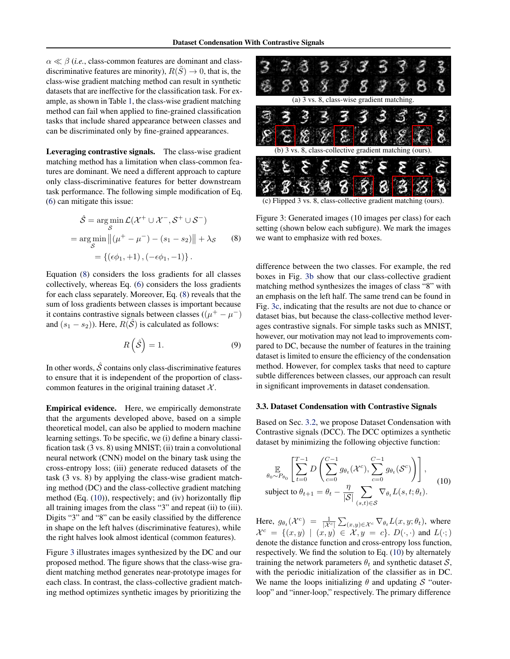$\alpha \ll \beta$  (*i.e.*, class-common features are dominant and classdiscriminative features are minority),  $R(S) \rightarrow 0$ , that is, the class-wise gradient matching method can result in synthetic datasets that are ineffective for the classification task. For example, as shown in Table [1,](#page-5-0) the class-wise gradient matching method can fail when applied to fine-grained classification tasks that include shared appearance between classes and can be discriminated only by fine-grained appearances.

Leveraging contrastive signals. The class-wise gradient matching method has a limitation when class-common features are dominant. We need a different approach to capture only class-discriminative features for better downstream task performance. The following simple modification of Eq. [\(6\)](#page-2-3) can mitigate this issue:

<span id="page-3-1"></span>
$$
\hat{\mathcal{S}} = \underset{\mathcal{S}}{\arg\min} \mathcal{L}(\mathcal{X}^+ \cup \mathcal{X}^-, \mathcal{S}^+ \cup \mathcal{S}^-)
$$
  
= 
$$
\underset{\mathcal{S}}{\arg\min} ||(\mu^+ - \mu^-) - (s_1 - s_2)|| + \lambda_{\mathcal{S}}
$$
 (8)  
= { $(\epsilon\phi_1, +1), (-\epsilon\phi_1, -1)$  }.

Equation [\(8\)](#page-3-1) considers the loss gradients for all classes collectively, whereas Eq. [\(6\)](#page-2-3) considers the loss gradients for each class separately. Moreover, Eq. [\(8\)](#page-3-1) reveals that the sum of loss gradients between classes is important because it contains contrastive signals between classes  $((\mu^+ - \mu^-))$ and  $(s_1 - s_2)$ ). Here,  $R(\hat{S})$  is calculated as follows:

$$
R\left(\hat{\mathcal{S}}\right) = 1.\tag{9}
$$

In other words,  $\hat{S}$  contains only class-discriminative features to ensure that it is independent of the proportion of classcommon features in the original training dataset  $X$ .

Empirical evidence. Here, we empirically demonstrate that the arguments developed above, based on a simple theoretical model, can also be applied to modern machine learning settings. To be specific, we (i) define a binary classification task (3 vs. 8) using MNIST; (ii) train a convolutional neural network (CNN) model on the binary task using the cross-entropy loss; (iii) generate reduced datasets of the task (3 vs. 8) by applying the class-wise gradient matching method (DC) and the class-collective gradient matching method (Eq. [\(10\)](#page-3-2)), respectively; and (iv) horizontally flip all training images from the class "3" and repeat (ii) to (iii). Digits "3" and "8" can be easily classified by the difference in shape on the left halves (discriminative features), while the right halves look almost identical (common features).

Figure [3](#page-3-3) illustrates images synthesized by the DC and our proposed method. The figure shows that the class-wise gradient matching method generates near-prototype images for each class. In contrast, the class-collective gradient matching method optimizes synthetic images by prioritizing the

<span id="page-3-3"></span>

(c) Flipped 3 vs. 8, class-collective gradient matching (ours).

Figure 3: Generated images (10 images per class) for each setting (shown below each subfigure). We mark the images we want to emphasize with red boxes.

difference between the two classes. For example, the red boxes in Fig. [3b](#page-3-3) show that our class-collective gradient matching method synthesizes the images of class "8" with an emphasis on the left half. The same trend can be found in Fig. [3c,](#page-3-3) indicating that the results are not due to chance or dataset bias, but because the class-collective method leverages contrastive signals. For simple tasks such as MNIST, however, our motivation may not lead to improvements compared to DC, because the number of features in the training dataset is limited to ensure the efficiency of the condensation method. However, for complex tasks that need to capture subtle differences between classes, our approach can result in significant improvements in dataset condensation.

### <span id="page-3-0"></span>3.3. Dataset Condensation with Contrastive Signals

Based on Sec. [3.2,](#page-2-0) we propose Dataset Condensation with Contrastive signals (DCC). The DCC optimizes a synthetic dataset by minimizing the following objective function:

<span id="page-3-2"></span>
$$
\mathbb{E}_{\theta_0 \sim P_{\theta_0}} \left[ \sum_{t=0}^{T-1} D \left( \sum_{c=0}^{C-1} g_{\theta_t}(\mathcal{X}^c), \sum_{c=0}^{C-1} g_{\theta_t}(\mathcal{S}^c) \right) \right],
$$
  
subject to  $\theta_{t+1} = \theta_t - \frac{\eta}{|\mathcal{S}|} \sum_{(s,t) \in \mathcal{S}} \nabla_{\theta_t} L(s, t; \theta_t).$  (10)

Here,  $g_{\theta_t}(\mathcal{X}^c) = \frac{1}{|\mathcal{X}^c|} \sum_{(x,y) \in \mathcal{X}^c} \nabla_{\theta_t} L(x, y; \theta_t)$ , where  $\mathcal{X}^c = \{(x, y) \mid (x, y) \in \mathcal{X}, y = c\}$ .  $D(\cdot, \cdot)$  and  $L(\cdot;$ denote the distance function and cross-entropy loss function, respectively. We find the solution to Eq. [\(10\)](#page-3-2) by alternately training the network parameters  $\theta_t$  and synthetic dataset  $S$ , with the periodic initialization of the classifier as in DC. We name the loops initializing  $\theta$  and updating S "outerloop" and "inner-loop," respectively. The primary difference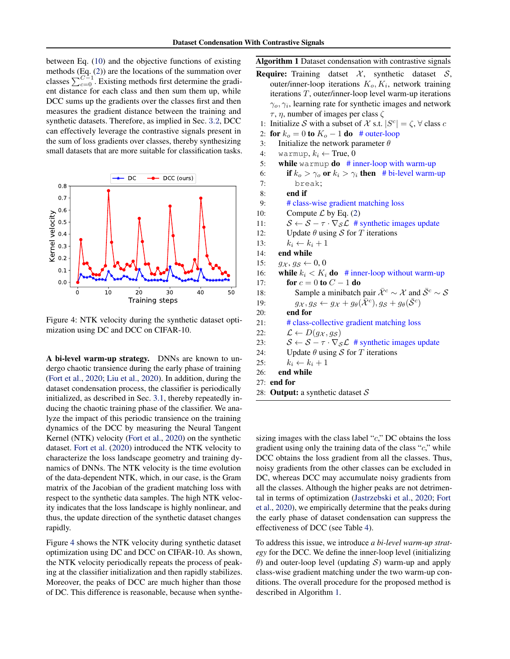between Eq. [\(10\)](#page-3-2) and the objective functions of existing methods (Eq. [\(2\)](#page-1-1)) are the locations of the summation over classes  $\sum_{c=0}^{C-1}$ . Existing methods first determine the gradient distance for each class and then sum them up, while DCC sums up the gradients over the classes first and then measures the gradient distance between the training and synthetic datasets. Therefore, as implied in Sec. [3](#page-2-0).2, DCC can effectively leverage the contrastive signals present in the sum of loss gradients over classes, thereby synthesizing small datasets that are more suitable for classification tasks.

<span id="page-4-0"></span>

Figure 4: NTK velocity during the synthetic dataset optimization using DC and DCC on CIFAR-10.

A bi-level warm-up strategy. DNNs are known to undergo chaotic transience during the early phase of training [\(Fort et al.,](#page-8-5) [2020;](#page-8-5) [Liu et al.,](#page-8-11) [2020\)](#page-8-11). In addition, during the dataset condensation process, the classifier is periodically initialized, as described in Sec. [3.1,](#page-1-0) thereby repeatedly inducing the chaotic training phase of the classifier. We analyze the impact of this periodic transience on the training dynamics of the DCC by measuring the Neural Tangent Kernel (NTK) velocity [\(Fort et al.,](#page-8-5) [2020\)](#page-8-5) on the synthetic dataset. [Fort et al.](#page-8-5) [\(2020\)](#page-8-5) introduced the NTK velocity to characterize the loss landscape geometry and training dynamics of DNNs. The NTK velocity is the time evolution of the data-dependent NTK, which, in our case, is the Gram matrix of the Jacobian of the gradient matching loss with respect to the synthetic data samples. The high NTK velocity indicates that the loss landscape is highly nonlinear, and thus, the update direction of the synthetic dataset changes rapidly.

Figure [4](#page-4-0) shows the NTK velocity during synthetic dataset optimization using DC and DCC on CIFAR-10. As shown, the NTK velocity periodically repeats the process of peaking at the classifier initialization and then rapidly stabilizes. Moreover, the peaks of DCC are much higher than those of DC. This difference is reasonable, because when synthe<span id="page-4-1"></span>Algorithm 1 Dataset condensation with contrastive signals

- **Require:** Training datset  $\mathcal{X}$ , synthetic dataset  $\mathcal{S}$ , outer/inner-loop iterations  $K_o, K_i$ , network training iterations T, outer/inner-loop level warm-up iterations  $\gamma_o, \gamma_i$ , learning rate for synthetic images and network  $τ, η$ , number of images per class  $ζ$ 
	- 1: Initialize S with a subset of X s.t.  $|S^c| = \zeta$ ,  $\forall$  class c
- 2: for  $k_o = 0$  to  $K_o 1$  do # outer-loop
- 3: Initialize the network parameter  $\theta$
- 4: warmup,  $k_i \leftarrow$  True, 0
- 5: while warmup  $\bf{do}$  # inner-loop with warm-up
- 6: if  $k_o > \gamma_o$  or  $k_i > \gamma_i$  then # bi-level warm-up 7: break;
- 8: end if
- 9: # class-wise gradient matching loss
- 10: Compute  $\mathcal L$  by Eq. [\(2\)](#page-1-1)
- 11:  $S \leftarrow S \tau \cdot \nabla_S \mathcal{L}$  # synthetic images update
- 12: Update  $\theta$  using S for T iterations
- 13:  $k_i \leftarrow k_i + 1$
- 14: end while
- 15:  $g_{\mathcal{X}}$ ,  $g_{\mathcal{S}} \leftarrow 0, 0$
- 16: while  $k_i < K_i$  do # inner-loop without warm-up 17: **for**  $c = 0$  to  $C - 1$  do
- 18: Sample a minibatch pair  $\bar{X}^c \sim \mathcal{X}$  and  $\bar{S}^c \sim \mathcal{S}$
- 19:  $g_{\mathcal{X}}, g_{\mathcal{S}} \leftarrow g_{\mathcal{X}} + g_{\theta}(\overline{\mathcal{X}}^c), g_{\mathcal{S}} + g_{\theta}(\overline{\mathcal{S}}^c)$
- 20: end for
- 21: # class-collective gradient matching loss
- 22:  $\mathcal{L} \leftarrow D(g_{\mathcal{X}}, g_{\mathcal{S}})$
- 23:  $S \leftarrow S \tau \cdot \nabla_S \mathcal{L}$  # synthetic images update
- 24: Update  $\theta$  using S for T iterations
- 25:  $k_i \leftarrow k_i + 1$
- 26: end while
- 27: end for
- 28: Output: a synthetic dataset  $S$

sizing images with the class label " $c$ ," DC obtains the loss gradient using only the training data of the class " $c$ ," while DCC obtains the loss gradient from all the classes. Thus, noisy gradients from the other classes can be excluded in DC, whereas DCC may accumulate noisy gradients from all the classes. Although the higher peaks are not detrimental in terms of optimization [\(Jastrzebski et al.,](#page-8-12) [2020;](#page-8-12) [Fort](#page-8-5) [et al.,](#page-8-5) [2020\)](#page-8-5), we empirically determine that the peaks during the early phase of dataset condensation can suppress the effectiveness of DCC (see Table [4\)](#page-7-0).

To address this issue, we introduce *a bi-level warm-up strategy* for the DCC. We define the inner-loop level (initializing  $\theta$ ) and outer-loop level (updating S) warm-up and apply class-wise gradient matching under the two warm-up conditions. The overall procedure for the proposed method is described in Algorithm [1.](#page-4-1)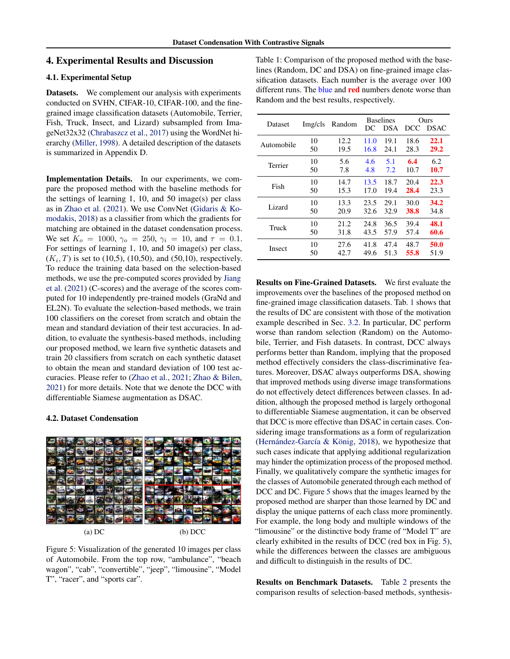### 4. Experimental Results and Discussion

### 4.1. Experimental Setup

Datasets. We complement our analysis with experiments conducted on SVHN, CIFAR-10, CIFAR-100, and the finegrained image classification datasets (Automobile, Terrier, Fish, Truck, Insect, and Lizard) subsampled from ImageNet32x32 [\(Chrabaszcz et al.,](#page-8-13) [2017\)](#page-8-13) using the WordNet hierarchy [\(Miller,](#page-8-14) [1998\)](#page-8-14). A detailed description of the datasets is summarized in Appendix D.

Implementation Details. In our experiments, we compare the proposed method with the baseline methods for the settings of learning 1, 10, and 50 image(s) per class as in [Zhao et al.](#page-9-3) [\(2021\)](#page-9-3). We use ConvNet [\(Gidaris & Ko](#page-8-15)[modakis,](#page-8-15) [2018\)](#page-8-15) as a classifier from which the gradients for matching are obtained in the dataset condensation process. We set  $K_o = 1000$ ,  $\gamma_o = 250$ ,  $\gamma_i = 10$ , and  $\tau = 0.1$ . For settings of learning 1, 10, and 50 image(s) per class,  $(K_i, T)$  is set to (10,5), (10,50), and (50,10), respectively. To reduce the training data based on the selection-based methods, we use the pre-computed scores provided by [Jiang](#page-8-9) [et al.](#page-8-9) [\(2021\)](#page-8-9) (C-scores) and the average of the scores computed for 10 independently pre-trained models (GraNd and EL2N). To evaluate the selection-based methods, we train 100 classifiers on the coreset from scratch and obtain the mean and standard deviation of their test accuracies. In addition, to evaluate the synthesis-based methods, including our proposed method, we learn five synthetic datasets and train 20 classifiers from scratch on each synthetic dataset to obtain the mean and standard deviation of 100 test accuracies. Please refer to [\(Zhao et al.,](#page-9-3) [2021;](#page-9-3) [Zhao & Bilen,](#page-9-7) [2021\)](#page-9-7) for more details. Note that we denote the DCC with differentiable Siamese augmentation as DSAC.

#### 4.2. Dataset Condensation

<span id="page-5-1"></span>

Figure 5: Visualization of the generated 10 images per class of Automobile. From the top row, "ambulance", "beach wagon", "cab", "convertible", "jeep", "limousine", "Model T", "racer", and "sports car".

<span id="page-5-0"></span>Table 1: Comparison of the proposed method with the baselines (Random, DC and DSA) on fine-grained image classification datasets. Each number is the average over 100 different runs. The blue and **red** numbers denote worse than Random and the best results, respectively.

| Dataset    | Img/cls | Random | DC   | <b>Baselines</b><br><b>DSA</b> | DCC. | Ours<br><b>DSAC</b> |
|------------|---------|--------|------|--------------------------------|------|---------------------|
| Automobile | 10      | 12.2   | 11.0 | 19.1                           | 18.6 | 22.1                |
|            | 50      | 19.5   | 16.8 | 24.1                           | 28.3 | 29.2                |
| Terrier    | 10      | 5.6    | 4.6  | 5.1                            | 6.4  | 6.2                 |
|            | 50      | 7.8    | 4.8  | 7.2                            | 10.7 | 10.7                |
| Fish       | 10      | 14.7   | 13.5 | 18.7                           | 20.4 | 22.3                |
|            | 50      | 15.3   | 17.0 | 19.4                           | 28.4 | 23.3                |
| Lizard     | 10      | 13.3   | 23.5 | 29.1                           | 30.0 | 34.2                |
|            | 50      | 20.9   | 32.6 | 32.9                           | 38.8 | 34.8                |
| Truck      | 10      | 21.2   | 24.8 | 36.5                           | 39.4 | 48.1                |
|            | 50      | 31.8   | 43.5 | 57.9                           | 57.4 | 60.6                |
| Insect     | 10      | 27.6   | 41.8 | 47.4                           | 48.7 | 50.0                |
|            | 50      | 42.7   | 49.6 | 51.3                           | 55.8 | 51.9                |

Results on Fine-Grained Datasets. We first evaluate the improvements over the baselines of the proposed method on fine-grained image classification datasets. Tab. [1](#page-5-0) shows that the results of DC are consistent with those of the motivation example described in Sec. [3.2.](#page-2-0) In particular, DC perform worse than random selection (Random) on the Automobile, Terrier, and Fish datasets. In contrast, DCC always performs better than Random, implying that the proposed method effectively considers the class-discriminative features. Moreover, DSAC always outperforms DSA, showing that improved methods using diverse image transformations do not effectively detect differences between classes. In addition, although the proposed method is largely orthogonal to differentiable Siamese augmentation, it can be observed that DCC is more effective than DSAC in certain cases. Considering image transformations as a form of regularization (Hernández-García & König, [2018\)](#page-8-16), we hypothesize that such cases indicate that applying additional regularization may hinder the optimization process of the proposed method. Finally, we qualitatively compare the synthetic images for the classes of Automobile generated through each method of DCC and DC. Figure [5](#page-5-1) shows that the images learned by the proposed method are sharper than those learned by DC and display the unique patterns of each class more prominently. For example, the long body and multiple windows of the "limousine" or the distinctive body frame of "Model T" are clearly exhibited in the results of DCC (red box in Fig. [5\)](#page-5-1), while the differences between the classes are ambiguous and difficult to distinguish in the results of DC.

Results on Benchmark Datasets. Table [2](#page-6-0) presents the comparison results of selection-based methods, synthesis-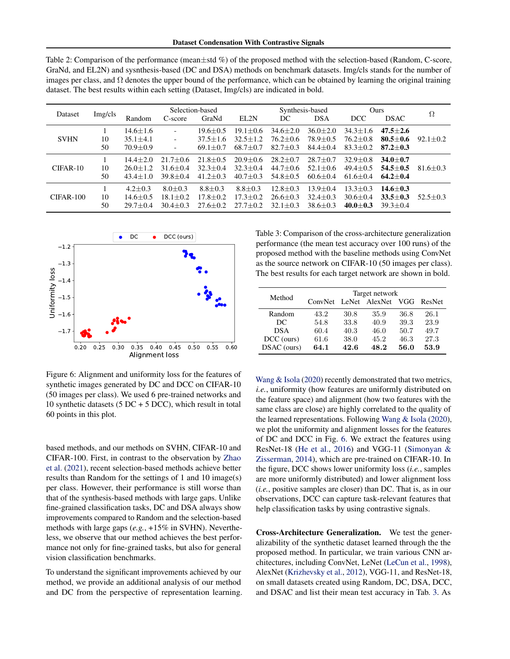<span id="page-6-0"></span>

| Table 2: Comparison of the performance (mean $\pm$ std %) of the proposed method with the selection-based (Random, C-score,        |
|------------------------------------------------------------------------------------------------------------------------------------|
| GraNd, and EL2N) and sysnthesis-based (DC and DSA) methods on benchmark datasets. Img/cls stands for the number of                 |
| images per class, and $\Omega$ denotes the upper bound of the performance, which can be obtained by learning the original training |
| dataset. The best results within each setting (Dataset, Img/cls) are indicated in bold.                                            |

| Dataset     |          | Selection-based                |                   |                              | Synthesis-based              |                                | Ours                         |                              | Ω                              |              |
|-------------|----------|--------------------------------|-------------------|------------------------------|------------------------------|--------------------------------|------------------------------|------------------------------|--------------------------------|--------------|
|             | Img/cls  | Random                         | C-score           | GraNd                        | EL2N                         | DC                             | <b>DSA</b>                   | DCC                          | <b>DSAC</b>                    |              |
|             |          | $14.6 + 1.6$                   |                   | $19.6 + 0.5$                 | $19.1 + 0.6$                 | $34.6 \pm 2.0$                 | $36.0 + 2.0$                 | $34.3 + 1.6$                 | $47.5 + 2.6$                   |              |
| <b>SVHN</b> | 10<br>50 | $35.1 \pm 4.1$<br>$70.9 + 0.9$ | $\qquad \qquad -$ | $37.5 + 1.6$<br>$69.1 + 0.7$ | $32.5 + 1.2$<br>$68.7 + 0.7$ | $76.2 \pm 0.6$<br>$82.7 + 0.3$ | $78.9 + 0.5$<br>$84.4 + 0.4$ | $76.2 + 0.8$<br>$83.3 + 0.2$ | $80.5 \pm 0.6$<br>$87.2 + 0.3$ | $92.1 + 0.2$ |
|             |          | $14.4 + 2.0$                   | $21.7 + 0.6$      | $21.8 + 0.5$                 | $20.9 + 0.6$                 | $28.2 + 0.7$                   | $28.7 + 0.7$                 | $32.9 + 0.8$                 | $34.0 + 0.7$                   |              |
| $CIFAR-10$  | 10       | $26.0 + 1.2$                   | $31.6 + 0.4$      | $32.3 \pm 0.4$               | $32.3 + 0.4$                 | $44.7 + 0.6$                   | $52.1 + 0.6$                 | $49.4 + 0.5$                 | $54.5 \pm 0.5$                 | $81.6 + 0.3$ |
|             | 50       | $43.4 + 1.0$                   | $39.8 + 0.4$      | $41.2 + 0.3$                 | $40.7 + 0.3$                 | $54.8 + 0.5$                   | $60.6 + 0.4$                 | $61.6 + 0.4$                 | $64.2 + 0.4$                   |              |
|             |          | $4.2 + 0.3$                    | $8.0 + 0.3$       | $8.8 \pm 0.3$                | $8.8 \pm 0.3$                | $12.8 \pm 0.3$                 | $13.9 + 0.4$                 | $13.3 + 0.3$                 | $14.6 + 0.3$                   |              |
| $CIFAR-100$ | 10       | $14.6 + 0.5$                   | $18.1 + 0.2$      | $17.8 + 0.2$                 | $17.3 + 0.2$                 | $26.6 \pm 0.3$                 | $32.4 + 0.3$                 | $30.6 + 0.4$                 | $33.5 \pm 0.3$                 | $52.5 + 0.3$ |
|             | 50       | $29.7 + 0.4$                   | $30.4 + 0.3$      | $27.6 + 0.2$                 | $27.7 + 0.2$                 | $32.1 + 0.3$                   | $38.6 + 0.3$                 | $40.0 + 0.3$                 | $39.3 + 0.4$                   |              |

<span id="page-6-1"></span>

Figure 6: Alignment and uniformity loss for the features of synthetic images generated by DC and DCC on CIFAR-10 (50 images per class). We used 6 pre-trained networks and 10 synthetic datasets ( $5$  DC +  $5$  DCC), which result in total 60 points in this plot.

based methods, and our methods on SVHN, CIFAR-10 and CIFAR-100. First, in contrast to the observation by [Zhao](#page-9-3) [et al.](#page-9-3) [\(2021\)](#page-9-3), recent selection-based methods achieve better results than Random for the settings of 1 and 10 image(s) per class. However, their performance is still worse than that of the synthesis-based methods with large gaps. Unlike fine-grained classification tasks, DC and DSA always show improvements compared to Random and the selection-based methods with large gaps (*e.g.*, +15% in SVHN). Nevertheless, we observe that our method achieves the best performance not only for fine-grained tasks, but also for general vision classification benchmarks.

To understand the significant improvements achieved by our method, we provide an additional analysis of our method and DC from the perspective of representation learning. <span id="page-6-2"></span>Table 3: Comparison of the cross-architecture generalization performance (the mean test accuracy over 100 runs) of the proposed method with the baseline methods using ConvNet as the source network on CIFAR-10 (50 images per class). The best results for each target network are shown in bold.

|             | Target network |      |                       |            |        |  |
|-------------|----------------|------|-----------------------|------------|--------|--|
| Method      |                |      | ConvNet LeNet AlexNet | <b>VGG</b> | ResNet |  |
| Random      | 43.2           | 30.8 | 35.9                  | 36.8       | 26.1   |  |
| DC.         | 54.8           | 33.8 | 40.9                  | 39.3       | 23.9   |  |
| <b>DSA</b>  | 60.4           | 40.3 | 46.0                  | 50.7       | 49.7   |  |
| DCC (ours)  | 61.6           | 38.0 | 45.2                  | 46.3       | 27.3   |  |
| DSAC (ours) | 64.1           | 42.6 | 48.2                  | 56.0       | 53.9   |  |

[Wang & Isola](#page-9-8) [\(2020\)](#page-9-8) recently demonstrated that two metrics, *i.e.*, uniformity (how features are uniformly distributed on the feature space) and alignment (how two features with the same class are close) are highly correlated to the quality of the learned representations. Following [Wang & Isola](#page-9-8) [\(2020\)](#page-9-8), we plot the uniformity and alignment losses for the features of DC and DCC in Fig. [6.](#page-6-1) We extract the features using ResNet-18 [\(He et al.,](#page-8-17) [2016\)](#page-8-17) and VGG-11 [\(Simonyan &](#page-9-9) [Zisserman,](#page-9-9) [2014\)](#page-9-9), which are pre-trained on CIFAR-10. In the figure, DCC shows lower uniformity loss (*i.e.*, samples are more uniformly distributed) and lower alignment loss (*i.e.*, positive samples are closer) than DC. That is, as in our observations, DCC can capture task-relevant features that help classification tasks by using contrastive signals.

Cross-Architecture Generalization. We test the generalizability of the synthetic dataset learned through the the proposed method. In particular, we train various CNN architectures, including ConvNet, LeNet [\(LeCun et al.,](#page-8-18) [1998\)](#page-8-18), AlexNet [\(Krizhevsky et al.,](#page-8-19) [2012\)](#page-8-19), VGG-11, and ResNet-18, on small datasets created using Random, DC, DSA, DCC, and DSAC and list their mean test accuracy in Tab. [3.](#page-6-2) As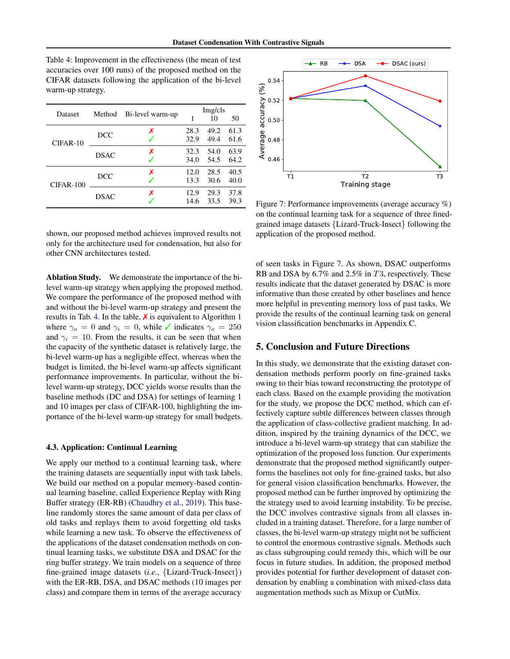<span id="page-7-0"></span>Table 4: Improvement in the effectiveness (the mean of test accuracies over 100 runs) of the proposed method on the CIFAR datasets following the application of the bi-level warm-up strategy.

| Dataset     | Method      | Bi-level warm-up | Img/cls |      |      |  |
|-------------|-------------|------------------|---------|------|------|--|
|             |             |                  |         | 10   | 50   |  |
| $CIFAR-10$  | DCC.        | х                | 28.3    | 49.2 | 61.3 |  |
|             |             |                  | 32.9    | 49.4 | 61.6 |  |
|             | <b>DSAC</b> | x                | 32.3    | 54.0 | 63.9 |  |
|             |             |                  | 34.0    | 54.5 | 64.2 |  |
|             | DCC.        | x                | 12.0    | 28.5 | 40.5 |  |
| $CIFAR-100$ |             |                  | 13.3    | 30.6 | 40.0 |  |
|             | <b>DSAC</b> | x                | 12.9    | 29.3 | 37.8 |  |
|             |             |                  | 14.6    | 33.5 | 39.3 |  |

shown, our proposed method achieves improved results not only for the architecture used for condensation, but also for other CNN architectures tested.

Ablation Study. We demonstrate the importance of the bilevel warm-up strategy when applying the proposed method. We compare the performance of the proposed method with and without the bi-level warm-up strategy and present the results in Tab. [4.](#page-7-0) In the table,  $\boldsymbol{\chi}$  is equivalent to Algorithm [1](#page-4-1) where  $\gamma_o = 0$  and  $\gamma_i = 0$ , while  $\checkmark$  indicates  $\gamma_o = 250$ and  $\gamma_i = 10$ . From the results, it can be seen that when the capacity of the synthetic dataset is relatively large, the bi-level warm-up has a negligible effect, whereas when the budget is limited, the bi-level warm-up affects significant performance improvements. In particular, without the bilevel warm-up strategy, DCC yields worse results than the baseline methods (DC and DSA) for settings of learning 1 and 10 images per class of CIFAR-100, highlighting the importance of the bi-level warm-up strategy for small budgets.

### 4.3. Application: Continual Learning

We apply our method to a continual learning task, where the training datasets are sequentially input with task labels. We build our method on a popular memory-based continual learning baseline, called Experience Replay with Ring Buffer strategy (ER-RB) [\(Chaudhry et al.,](#page-8-20) [2019\)](#page-8-20). This baseline randomly stores the same amount of data per class of old tasks and replays them to avoid forgetting old tasks while learning a new task. To observe the effectiveness of the applications of the dataset condensation methods on continual learning tasks, we substitute DSA and DSAC for the ring buffer strategy. We train models on a sequence of three fine-grained image datasets (*i.e.*, {Lizard-Truck-Insect}) with the ER-RB, DSA, and DSAC methods (10 images per class) and compare them in terms of the average accuracy

<span id="page-7-1"></span>

Figure 7: Performance improvements (average accuracy %) on the continual learning task for a sequence of three finedgrained image datasets {Lizard-Truck-Insect} following the application of the proposed method.

of seen tasks in Figure [7.](#page-7-1) As shown, DSAC outperforms RB and DSA by 6.7% and 2.5% in T3, respectively. These results indicate that the dataset generated by DSAC is more informative than those created by other baselines and hence more helpful in preventing memory loss of past tasks. We provide the results of the continual learning task on general vision classification benchmarks in Appendix C.

### 5. Conclusion and Future Directions

In this study, we demonstrate that the existing dataset condensation methods perform poorly on fine-grained tasks owing to their bias toward reconstructing the prototype of each class. Based on the example providing the motivation for the study, we propose the DCC method, which can effectively capture subtle differences between classes through the application of class-collective gradient matching. In addition, inspired by the training dynamics of the DCC, we introduce a bi-level warm-up strategy that can stabilize the optimization of the proposed loss function. Our experiments demonstrate that the proposed method significantly outperforms the baselines not only for fine-grained tasks, but also for general vision classification benchmarks. However, the proposed method can be further improved by optimizing the the strategy used to avoid learning instability. To be precise, the DCC involves contrastive signals from all classes included in a training dataset. Therefore, for a large number of classes, the bi-level warm-up strategy might not be sufficient to control the enormous contrastive signals. Methods such as class subgrouping could remedy this, which will be our focus in future studies. In addition, the proposed method provides potential for further development of dataset condensation by enabling a combination with mixed-class data augmentation methods such as Mixup or CutMix.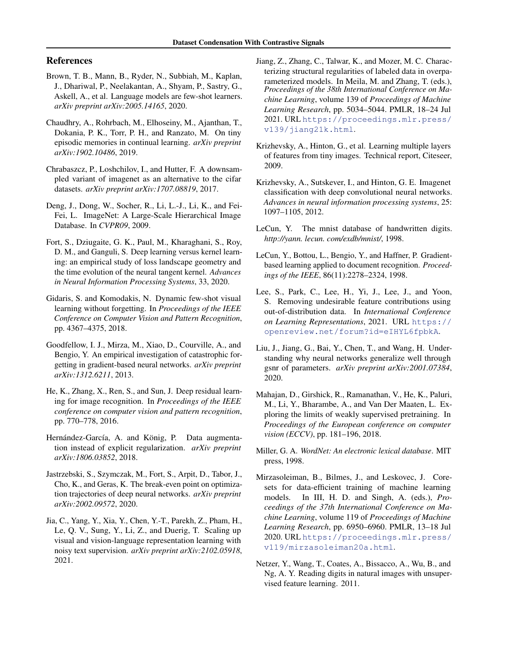## References

- <span id="page-8-2"></span>Brown, T. B., Mann, B., Ryder, N., Subbiah, M., Kaplan, J., Dhariwal, P., Neelakantan, A., Shyam, P., Sastry, G., Askell, A., et al. Language models are few-shot learners. *arXiv preprint arXiv:2005.14165*, 2020.
- <span id="page-8-20"></span>Chaudhry, A., Rohrbach, M., Elhoseiny, M., Ajanthan, T., Dokania, P. K., Torr, P. H., and Ranzato, M. On tiny episodic memories in continual learning. *arXiv preprint arXiv:1902.10486*, 2019.
- <span id="page-8-13"></span>Chrabaszcz, P., Loshchilov, I., and Hutter, F. A downsampled variant of imagenet as an alternative to the cifar datasets. *arXiv preprint arXiv:1707.08819*, 2017.
- <span id="page-8-21"></span>Deng, J., Dong, W., Socher, R., Li, L.-J., Li, K., and Fei-Fei, L. ImageNet: A Large-Scale Hierarchical Image Database. In *CVPR09*, 2009.
- <span id="page-8-5"></span>Fort, S., Dziugaite, G. K., Paul, M., Kharaghani, S., Roy, D. M., and Ganguli, S. Deep learning versus kernel learning: an empirical study of loss landscape geometry and the time evolution of the neural tangent kernel. *Advances in Neural Information Processing Systems*, 33, 2020.
- <span id="page-8-15"></span>Gidaris, S. and Komodakis, N. Dynamic few-shot visual learning without forgetting. In *Proceedings of the IEEE Conference on Computer Vision and Pattern Recognition*, pp. 4367–4375, 2018.
- <span id="page-8-4"></span>Goodfellow, I. J., Mirza, M., Xiao, D., Courville, A., and Bengio, Y. An empirical investigation of catastrophic forgetting in gradient-based neural networks. *arXiv preprint arXiv:1312.6211*, 2013.
- <span id="page-8-17"></span>He, K., Zhang, X., Ren, S., and Sun, J. Deep residual learning for image recognition. In *Proceedings of the IEEE conference on computer vision and pattern recognition*, pp. 770–778, 2016.
- <span id="page-8-16"></span>Hernández-García, A. and König, P. Data augmentation instead of explicit regularization. *arXiv preprint arXiv:1806.03852*, 2018.
- <span id="page-8-12"></span>Jastrzebski, S., Szymczak, M., Fort, S., Arpit, D., Tabor, J., Cho, K., and Geras, K. The break-even point on optimization trajectories of deep neural networks. *arXiv preprint arXiv:2002.09572*, 2020.
- <span id="page-8-1"></span>Jia, C., Yang, Y., Xia, Y., Chen, Y.-T., Parekh, Z., Pham, H., Le, Q. V., Sung, Y., Li, Z., and Duerig, T. Scaling up visual and vision-language representation learning with noisy text supervision. *arXiv preprint arXiv:2102.05918*, 2021.
- <span id="page-8-9"></span>Jiang, Z., Zhang, C., Talwar, K., and Mozer, M. C. Characterizing structural regularities of labeled data in overparameterized models. In Meila, M. and Zhang, T. (eds.), *Proceedings of the 38th International Conference on Machine Learning*, volume 139 of *Proceedings of Machine Learning Research*, pp. 5034–5044. PMLR, 18–24 Jul 2021. URL [https://proceedings.mlr.press/](https://proceedings.mlr.press/v139/jiang21k.html) [v139/jiang21k.html](https://proceedings.mlr.press/v139/jiang21k.html).
- <span id="page-8-7"></span>Krizhevsky, A., Hinton, G., et al. Learning multiple layers of features from tiny images. Technical report, Citeseer, 2009.
- <span id="page-8-19"></span>Krizhevsky, A., Sutskever, I., and Hinton, G. E. Imagenet classification with deep convolutional neural networks. *Advances in neural information processing systems*, 25: 1097–1105, 2012.
- <span id="page-8-10"></span>LeCun, Y. The mnist database of handwritten digits. *http://yann. lecun. com/exdb/mnist/*, 1998.
- <span id="page-8-18"></span>LeCun, Y., Bottou, L., Bengio, Y., and Haffner, P. Gradientbased learning applied to document recognition. *Proceedings of the IEEE*, 86(11):2278–2324, 1998.
- <span id="page-8-0"></span>Lee, S., Park, C., Lee, H., Yi, J., Lee, J., and Yoon, S. Removing undesirable feature contributions using out-of-distribution data. In *International Conference on Learning Representations*, 2021. URL [https://](https://openreview.net/forum?id=eIHYL6fpbkA) [openreview.net/forum?id=eIHYL6fpbkA](https://openreview.net/forum?id=eIHYL6fpbkA).
- <span id="page-8-11"></span>Liu, J., Jiang, G., Bai, Y., Chen, T., and Wang, H. Understanding why neural networks generalize well through gsnr of parameters. *arXiv preprint arXiv:2001.07384*, 2020.
- <span id="page-8-3"></span>Mahajan, D., Girshick, R., Ramanathan, V., He, K., Paluri, M., Li, Y., Bharambe, A., and Van Der Maaten, L. Exploring the limits of weakly supervised pretraining. In *Proceedings of the European conference on computer vision (ECCV)*, pp. 181–196, 2018.
- <span id="page-8-14"></span>Miller, G. A. *WordNet: An electronic lexical database*. MIT press, 1998.
- <span id="page-8-8"></span>Mirzasoleiman, B., Bilmes, J., and Leskovec, J. Coresets for data-efficient training of machine learning models. In III, H. D. and Singh, A. (eds.), *Proceedings of the 37th International Conference on Machine Learning*, volume 119 of *Proceedings of Machine Learning Research*, pp. 6950–6960. PMLR, 13–18 Jul 2020. URL [https://proceedings.mlr.press/](https://proceedings.mlr.press/v119/mirzasoleiman20a.html) [v119/mirzasoleiman20a.html](https://proceedings.mlr.press/v119/mirzasoleiman20a.html).
- <span id="page-8-6"></span>Netzer, Y., Wang, T., Coates, A., Bissacco, A., Wu, B., and Ng, A. Y. Reading digits in natural images with unsupervised feature learning. 2011.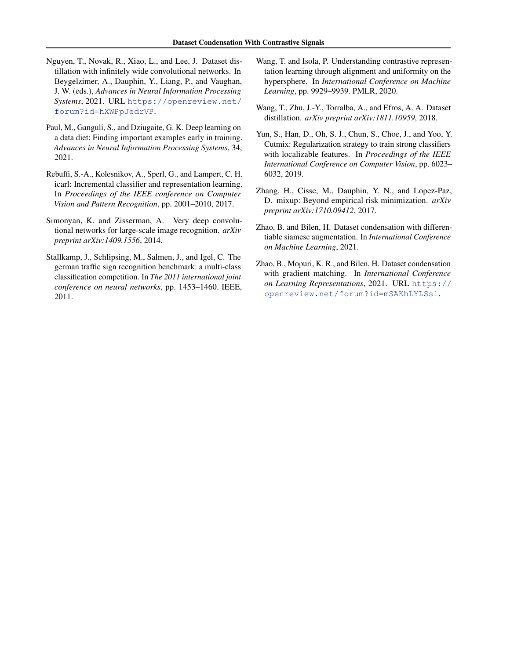- <span id="page-9-6"></span>Nguyen, T., Novak, R., Xiao, L., and Lee, J. Dataset distillation with infinitely wide convolutional networks. In Beygelzimer, A., Dauphin, Y., Liang, P., and Vaughan, J. W. (eds.), *Advances in Neural Information Processing Systems*, 2021. URL [https://openreview.net/](https://openreview.net/forum?id=hXWPpJedrVP) [forum?id=hXWPpJedrVP](https://openreview.net/forum?id=hXWPpJedrVP).
- <span id="page-9-5"></span>Paul, M., Ganguli, S., and Dziugaite, G. K. Deep learning on a data diet: Finding important examples early in training. *Advances in Neural Information Processing Systems*, 34, 2021.
- <span id="page-9-2"></span>Rebuffi, S.-A., Kolesnikov, A., Sperl, G., and Lampert, C. H. icarl: Incremental classifier and representation learning. In *Proceedings of the IEEE conference on Computer Vision and Pattern Recognition*, pp. 2001–2010, 2017.
- <span id="page-9-9"></span>Simonyan, K. and Zisserman, A. Very deep convolutional networks for large-scale image recognition. *arXiv preprint arXiv:1409.1556*, 2014.
- <span id="page-9-10"></span>Stallkamp, J., Schlipsing, M., Salmen, J., and Igel, C. The german traffic sign recognition benchmark: a multi-class classification competition. In *The 2011 international joint conference on neural networks*, pp. 1453–1460. IEEE, 2011.
- <span id="page-9-8"></span>Wang, T. and Isola, P. Understanding contrastive representation learning through alignment and uniformity on the hypersphere. In *International Conference on Machine Learning*, pp. 9929–9939. PMLR, 2020.
- <span id="page-9-4"></span>Wang, T., Zhu, J.-Y., Torralba, A., and Efros, A. A. Dataset distillation. *arXiv preprint arXiv:1811.10959*, 2018.
- <span id="page-9-1"></span>Yun, S., Han, D., Oh, S. J., Chun, S., Choe, J., and Yoo, Y. Cutmix: Regularization strategy to train strong classifiers with localizable features. In *Proceedings of the IEEE International Conference on Computer Vision*, pp. 6023– 6032, 2019.
- <span id="page-9-0"></span>Zhang, H., Cisse, M., Dauphin, Y. N., and Lopez-Paz, D. mixup: Beyond empirical risk minimization. *arXiv preprint arXiv:1710.09412*, 2017.
- <span id="page-9-7"></span>Zhao, B. and Bilen, H. Dataset condensation with differentiable siamese augmentation. In *International Conference on Machine Learning*, 2021.
- <span id="page-9-3"></span>Zhao, B., Mopuri, K. R., and Bilen, H. Dataset condensation with gradient matching. In *International Conference on Learning Representations*, 2021. URL [https://](https://openreview.net/forum?id=mSAKhLYLSsl) [openreview.net/forum?id=mSAKhLYLSsl](https://openreview.net/forum?id=mSAKhLYLSsl).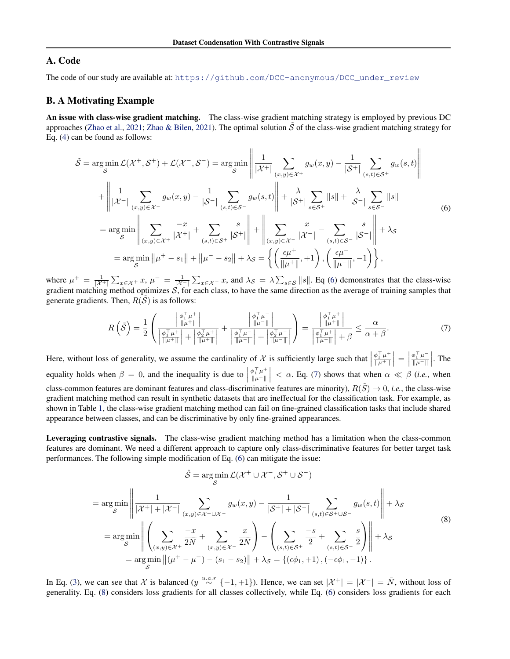# A. Code

The code of our study are available at: [https://github.com/DCC-anonymous/DCC\\_under\\_review](https://github.com/DCC-anonymous/DCC_under_review)

## B. A Motivating Example

An issue with class-wise gradient matching. The class-wise gradient matching strategy is employed by previous DC approaches [\(Zhao et al.,](#page-9-3) [2021;](#page-9-3) [Zhao & Bilen,](#page-9-7) [2021\)](#page-9-7). The optimal solution  $\tilde{S}$  of the class-wise gradient matching strategy for Eq. [\(4\)](#page-2-2) can be found as follows:

<span id="page-10-0"></span>
$$
\tilde{S} = \underset{S}{\arg\min} \mathcal{L}(\mathcal{X}^+, \mathcal{S}^+) + \mathcal{L}(\mathcal{X}^-, \mathcal{S}^-) = \underset{S}{\arg\min} \left\| \frac{1}{|\mathcal{X}^+|} \sum_{(x,y)\in\mathcal{X}^+} g_w(x,y) - \frac{1}{|\mathcal{S}^+|} \sum_{(s,t)\in\mathcal{S}^+} g_w(s,t) \right\|
$$
  
+ 
$$
\left\| \frac{1}{|\mathcal{X}^-|} \sum_{(x,y)\in\mathcal{X}^-} g_w(x,y) - \frac{1}{|\mathcal{S}^-|} \sum_{(s,t)\in\mathcal{S}^-} g_w(s,t) \right\| + \frac{\lambda}{|\mathcal{S}^+|} \sum_{s\in\mathcal{S}^+} ||s|| + \frac{\lambda}{|\mathcal{S}^-|} \sum_{s\in\mathcal{S}^-} ||s||
$$
  
= 
$$
\underset{S}{\arg\min} \left\| \sum_{(x,y)\in\mathcal{X}^+} \frac{-x}{|\mathcal{X}^+|} + \sum_{(s,t)\in\mathcal{S}^+} \frac{s}{|\mathcal{S}^+|} \right\| + \left\| \sum_{(x,y)\in\mathcal{X}^-} \frac{x}{|\mathcal{X}^-|} - \sum_{(s,t)\in\mathcal{S}^-} \frac{s}{|\mathcal{S}^-|} \right\| + \lambda_{\mathcal{S}}
$$
  
= 
$$
\underset{S}{\arg\min} \left\| \mu^+ - s_1 \right\| + \left\| \mu^- - s_2 \right\| + \lambda_{\mathcal{S}} = \left\{ \left( \frac{\epsilon\mu^+}{\|\mu^+\|}, +1 \right), \left( \frac{\epsilon\mu^-}{\|\mu^-\|}, -1 \right) \right\},
$$

where  $\mu^+ = \frac{1}{|\mathcal{X}^+|} \sum_{x \in \mathcal{X}^+} x, \mu^- = \frac{1}{|\mathcal{X}^-|} \sum_{x \in \mathcal{X}^-} x$ , and  $\lambda_{\mathcal{S}} = \lambda \sum_{s \in \mathcal{S}} ||s||$ . Eq [\(6\)](#page-10-0) demonstrates that the class-wise gradient matching method optimizes  $S$ , for each class, to have the same direction as the average of training samples that generate gradients. Then,  $R(S)$  is as follows:

<span id="page-10-1"></span>
$$
R\left(\tilde{\mathcal{S}}\right) = \frac{1}{2} \left( \frac{\left| \frac{\phi_1^\top \mu^+}{\|\mu^+\|} \right|}{\left| \frac{\phi_1^\top \mu^+}{\|\mu^+\|} \right| + \left| \frac{\phi_2^\top \mu^+}{\|\mu^+\|} \right|} + \frac{\left| \frac{\phi_1^\top \mu^-}{\|\mu^-\|} \right|}{\left| \frac{\phi_1^\top \mu^-}{\|\mu^-\|} \right| + \left| \frac{\phi_2^\top \mu^-}{\|\mu^-\|} \right|} \right) = \frac{\left| \frac{\phi_1^\top \mu^+}{\|\mu^+\|} \right|}{\left| \frac{\phi_1^\top \mu^+}{\|\mu^+\|} \right| + \beta} \le \frac{\alpha}{\alpha + \beta}.
$$
\n(7)

Here, without loss of generality, we assume the cardinality of  $\mathcal X$  is sufficiently large such that  $\phi_1^\top \mu^+$  $\frac{\phi_1^\top \mu^+}{\|\mu^+\|}\Big| = \Big|$  $\phi_1^\top \mu^ \frac{\phi_1^{\top} \mu^-}{\|\mu^-\|}$ . The equality holds when  $\beta = 0$ , and the inequality is due to  $\phi_1^\top \mu^+$  $\left|\frac{\phi_1^T \mu^+}{\|\mu^+\|}\right| < \alpha$ . Eq. [\(7\)](#page-10-1) shows that when  $\alpha \ll \beta$  (*i.e.*, when class-common features are dominant features and class-discriminative features are minority),  $R(\tilde{S}) \to 0$ , *i.e.*, the class-wise gradient matching method can result in synthetic datasets that are ineffectual for the classification task. For example, as shown in Table [1,](#page-5-0) the class-wise gradient matching method can fail on fine-grained classification tasks that include shared appearance between classes, and can be discriminative by only fine-grained appearances.

Leveraging contrastive signals. The class-wise gradient matching method has a limitation when the class-common features are dominant. We need a different approach to capture only class-discriminative features for better target task performances. The following simple modification of Eq. [\(6\)](#page-10-0) can mitigate the issue:

<span id="page-10-2"></span>
$$
\hat{S} = \arg\min_{S} \mathcal{L}(\mathcal{X}^+ \cup \mathcal{X}^-, \mathcal{S}^+ \cup \mathcal{S}^-)
$$
  
\n
$$
= \arg\min_{S} \left\| \frac{1}{|\mathcal{X}^+| + |\mathcal{X}^-|} \sum_{(x,y) \in \mathcal{X}^+ \cup \mathcal{X}^-} g_w(x,y) - \frac{1}{|\mathcal{S}^+| + |\mathcal{S}^-|} \sum_{(s,t) \in \mathcal{S}^+ \cup \mathcal{S}^-} g_w(s,t) \right\| + \lambda_S
$$
  
\n
$$
= \arg\min_{S} \left\| \left( \sum_{(x,y) \in \mathcal{X}^+} \frac{-x}{2N} + \sum_{(x,y) \in \mathcal{X}^-} \frac{x}{2N} \right) - \left( \sum_{(s,t) \in \mathcal{S}^+} \frac{-s}{2} + \sum_{(s,t) \in \mathcal{S}^-} \frac{s}{2} \right) \right\| + \lambda_S
$$
  
\n
$$
= \arg\min_{S} \left\| (\mu^+ - \mu^-) - (s_1 - s_2) \right\| + \lambda_S = \{ (\epsilon \phi_1, +1), (-\epsilon \phi_1, -1) \}.
$$
 (8)

In Eq. [\(3\)](#page-2-5), we can see that X is balanced (y  $\stackrel{u.a.r}{\sim} \{-1,+1\}$ ). Hence, we can set  $|\mathcal{X}^+| = |\mathcal{X}^-| = \hat{N}$ , without loss of generality. Eq. [\(8\)](#page-10-2) considers loss gradients for all classes collectively, while Eq. [\(6\)](#page-10-0) considers loss gradients for each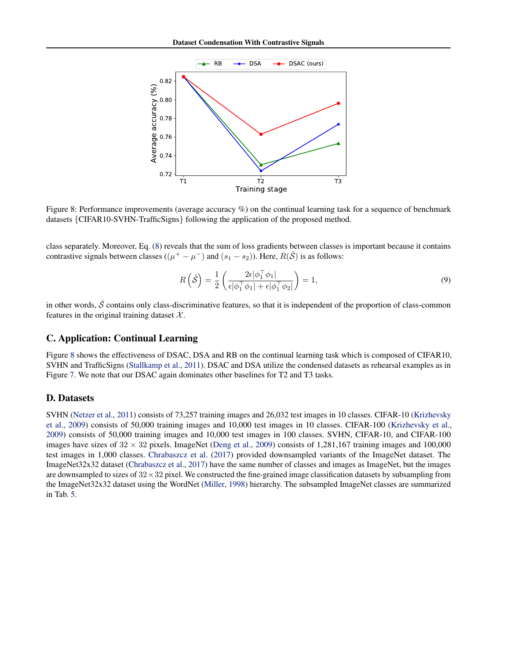<span id="page-11-0"></span>

Figure 8: Performance improvements (average accuracy %) on the continual learning task for a sequence of benchmark datasets {CIFAR10-SVHN-TrafficSigns} following the application of the proposed method.

class separately. Moreover, Eq. [\(8\)](#page-10-2) reveals that the sum of loss gradients between classes is important because it contains contrastive signals between classes  $((\mu^+ - \mu^-)$  and  $(s_1 - s_2))$ . Here,  $R(\hat{S})$  is as follows:

$$
R\left(\hat{\mathcal{S}}\right) = \frac{1}{2} \left( \frac{2\epsilon |\phi_1^\top \phi_1|}{\epsilon |\phi_1^\top \phi_1| + \epsilon |\phi_1^\top \phi_2|} \right) = 1,\tag{9}
$$

in other words,  $\hat{S}$  contains only class-discriminative features, so that it is independent of the proportion of class-common features in the original training dataset  $\mathcal{X}$ .

## C. Application: Continual Learning

Figure [8](#page-11-0) shows the effectiveness of DSAC, DSA and RB on the continual learning task which is composed of CIFAR10, SVHN and TrafficSigns [\(Stallkamp et al.,](#page-9-10) [2011\)](#page-9-10). DSAC and DSA utilize the condensed datasets as rehearsal examples as in Figure [7.](#page-7-1) We note that our DSAC again dominates other baselines for T2 and T3 tasks.

## D. Datasets

SVHN [\(Netzer et al.,](#page-8-6) [2011\)](#page-8-6) consists of 73,257 training images and 26,032 test images in 10 classes. CIFAR-10 [\(Krizhevsky](#page-8-7) [et al.,](#page-8-7) [2009\)](#page-8-7) consists of 50,000 training images and 10,000 test images in 10 classes. CIFAR-100 [\(Krizhevsky et al.,](#page-8-7) [2009\)](#page-8-7) consists of 50,000 training images and 10,000 test images in 100 classes. SVHN, CIFAR-10, and CIFAR-100 images have sizes of  $32 \times 32$  pixels. ImageNet [\(Deng et al.,](#page-8-21) [2009\)](#page-8-21) consists of 1,281,167 training images and 100,000 test images in 1,000 classes. [Chrabaszcz et al.](#page-8-13) [\(2017\)](#page-8-13) provided downsampled variants of the ImageNet dataset. The ImageNet32x32 dataset [\(Chrabaszcz et al.,](#page-8-13) [2017\)](#page-8-13) have the same number of classes and images as ImageNet, but the images are downsampled to sizes of  $32 \times 32$  pixel. We constructed the fine-grained image classification datasets by subsampling from the ImageNet32x32 dataset using the WordNet [\(Miller,](#page-8-14) [1998\)](#page-8-14) hierarchy. The subsampled ImageNet classes are summarized in Tab. [5.](#page-12-0)